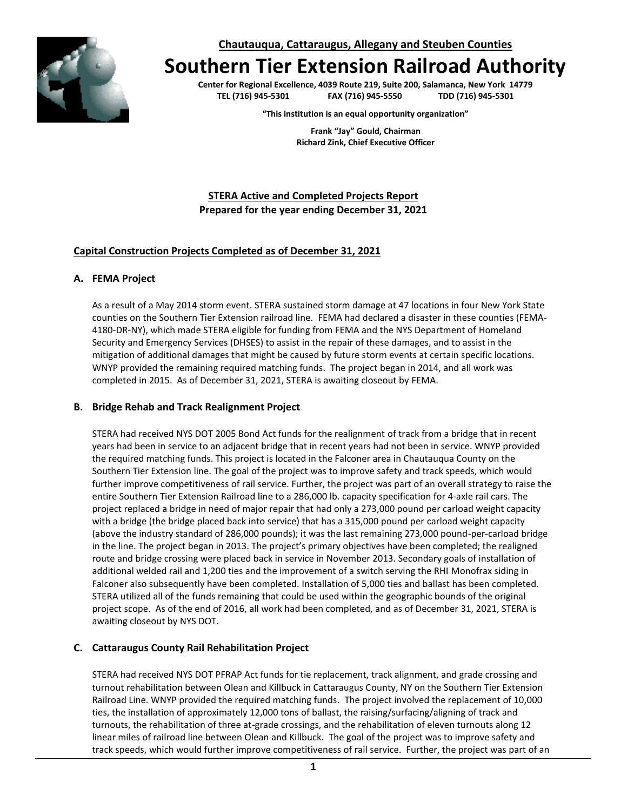**Chautauqua, Cattaraugus, Allegany and Steuben Counties**

# **Southern Tier Extension Railroad Authority**

**Center for Regional Excellence, 4039 Route 219, Suite 200, Salamanca, New York 14779 TEL (716) 945-5301 FAX (716) 945-5550 TDD (716) 945-5301**

**"This institution is an equal opportunity organization"**

**Frank "Jay" Gould, Chairman Richard Zink, Chief Executive Officer**

**STERA Active and Completed Projects Report Prepared for the year ending December 31, 2021**

#### **Capital Construction Projects Completed as of December 31, 2021**

#### **A. FEMA Project**

As a result of a May 2014 storm event. STERA sustained storm damage at 47 locations in four New York State counties on the Southern Tier Extension railroad line. FEMA had declared a disaster in these counties (FEMA-4180-DR-NY), which made STERA eligible for funding from FEMA and the NYS Department of Homeland Security and Emergency Services (DHSES) to assist in the repair of these damages, and to assist in the mitigation of additional damages that might be caused by future storm events at certain specific locations. WNYP provided the remaining required matching funds. The project began in 2014, and all work was completed in 2015. As of December 31, 2021, STERA is awaiting closeout by FEMA.

#### **B. Bridge Rehab and Track Realignment Project**

STERA had received NYS DOT 2005 Bond Act funds for the realignment of track from a bridge that in recent years had been in service to an adjacent bridge that in recent years had not been in service. WNYP provided the required matching funds. This project is located in the Falconer area in Chautauqua County on the Southern Tier Extension line. The goal of the project was to improve safety and track speeds, which would further improve competitiveness of rail service. Further, the project was part of an overall strategy to raise the entire Southern Tier Extension Railroad line to a 286,000 lb. capacity specification for 4-axle rail cars. The project replaced a bridge in need of major repair that had only a 273,000 pound per carload weight capacity with a bridge (the bridge placed back into service) that has a 315,000 pound per carload weight capacity (above the industry standard of 286,000 pounds); it was the last remaining 273,000 pound-per-carload bridge in the line. The project began in 2013. The project's primary objectives have been completed; the realigned route and bridge crossing were placed back in service in November 2013. Secondary goals of installation of additional welded rail and 1,200 ties and the improvement of a switch serving the RHI Monofrax siding in Falconer also subsequently have been completed. Installation of 5,000 ties and ballast has been completed. STERA utilized all of the funds remaining that could be used within the geographic bounds of the original project scope. As of the end of 2016, all work had been completed, and as of December 31, 2021, STERA is awaiting closeout by NYS DOT.

#### **C. Cattaraugus County Rail Rehabilitation Project**

STERA had received NYS DOT PFRAP Act funds for tie replacement, track alignment, and grade crossing and turnout rehabilitation between Olean and Killbuck in Cattaraugus County, NY on the Southern Tier Extension Railroad Line. WNYP provided the required matching funds. The project involved the replacement of 10,000 ties, the installation of approximately 12,000 tons of ballast, the raising/surfacing/aligning of track and turnouts, the rehabilitation of three at-grade crossings, and the rehabilitation of eleven turnouts along 12 linear miles of railroad line between Olean and Killbuck. The goal of the project was to improve safety and track speeds, which would further improve competitiveness of rail service. Further, the project was part of an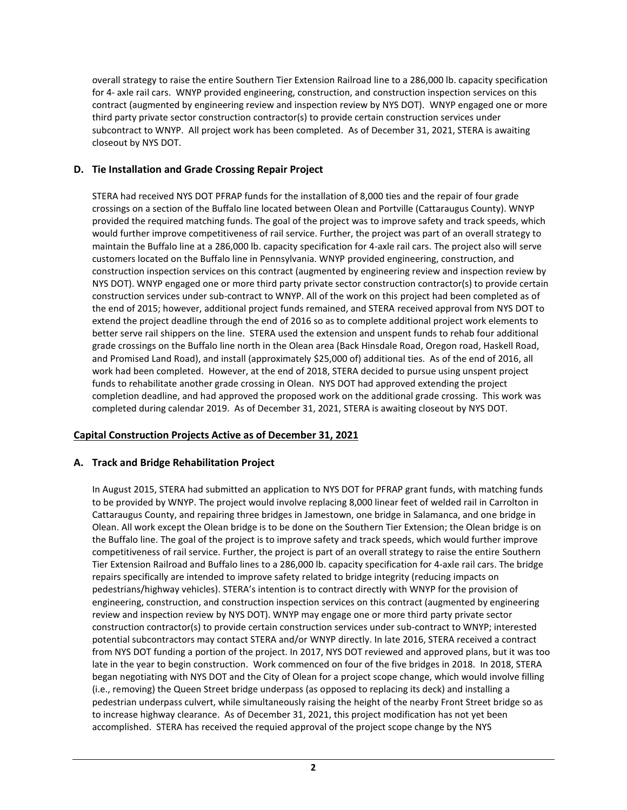overall strategy to raise the entire Southern Tier Extension Railroad line to a 286,000 lb. capacity specification for 4- axle rail cars. WNYP provided engineering, construction, and construction inspection services on this contract (augmented by engineering review and inspection review by NYS DOT). WNYP engaged one or more third party private sector construction contractor(s) to provide certain construction services under subcontract to WNYP. All project work has been completed. As of December 31, 2021, STERA is awaiting closeout by NYS DOT.

# **D. Tie Installation and Grade Crossing Repair Project**

STERA had received NYS DOT PFRAP funds for the installation of 8,000 ties and the repair of four grade crossings on a section of the Buffalo line located between Olean and Portville (Cattaraugus County). WNYP provided the required matching funds. The goal of the project was to improve safety and track speeds, which would further improve competitiveness of rail service. Further, the project was part of an overall strategy to maintain the Buffalo line at a 286,000 lb. capacity specification for 4-axle rail cars. The project also will serve customers located on the Buffalo line in Pennsylvania. WNYP provided engineering, construction, and construction inspection services on this contract (augmented by engineering review and inspection review by NYS DOT). WNYP engaged one or more third party private sector construction contractor(s) to provide certain construction services under sub-contract to WNYP. All of the work on this project had been completed as of the end of 2015; however, additional project funds remained, and STERA received approval from NYS DOT to extend the project deadline through the end of 2016 so as to complete additional project work elements to better serve rail shippers on the line. STERA used the extension and unspent funds to rehab four additional grade crossings on the Buffalo line north in the Olean area (Back Hinsdale Road, Oregon road, Haskell Road, and Promised Land Road), and install (approximately \$25,000 of) additional ties. As of the end of 2016, all work had been completed. However, at the end of 2018, STERA decided to pursue using unspent project funds to rehabilitate another grade crossing in Olean. NYS DOT had approved extending the project completion deadline, and had approved the proposed work on the additional grade crossing. This work was completed during calendar 2019. As of December 31, 2021, STERA is awaiting closeout by NYS DOT.

# **Capital Construction Projects Active as of December 31, 2021**

#### **A. Track and Bridge Rehabilitation Project**

In August 2015, STERA had submitted an application to NYS DOT for PFRAP grant funds, with matching funds to be provided by WNYP. The project would involve replacing 8,000 linear feet of welded rail in Carrolton in Cattaraugus County, and repairing three bridges in Jamestown, one bridge in Salamanca, and one bridge in Olean. All work except the Olean bridge is to be done on the Southern Tier Extension; the Olean bridge is on the Buffalo line. The goal of the project is to improve safety and track speeds, which would further improve competitiveness of rail service. Further, the project is part of an overall strategy to raise the entire Southern Tier Extension Railroad and Buffalo lines to a 286,000 lb. capacity specification for 4-axle rail cars. The bridge repairs specifically are intended to improve safety related to bridge integrity (reducing impacts on pedestrians/highway vehicles). STERA's intention is to contract directly with WNYP for the provision of engineering, construction, and construction inspection services on this contract (augmented by engineering review and inspection review by NYS DOT). WNYP may engage one or more third party private sector construction contractor(s) to provide certain construction services under sub-contract to WNYP; interested potential subcontractors may contact STERA and/or WNYP directly. In late 2016, STERA received a contract from NYS DOT funding a portion of the project. In 2017, NYS DOT reviewed and approved plans, but it was too late in the year to begin construction. Work commenced on four of the five bridges in 2018. In 2018, STERA began negotiating with NYS DOT and the City of Olean for a project scope change, which would involve filling (i.e., removing) the Queen Street bridge underpass (as opposed to replacing its deck) and installing a pedestrian underpass culvert, while simultaneously raising the height of the nearby Front Street bridge so as to increase highway clearance. As of December 31, 2021, this project modification has not yet been accomplished. STERA has received the requied approval of the project scope change by the NYS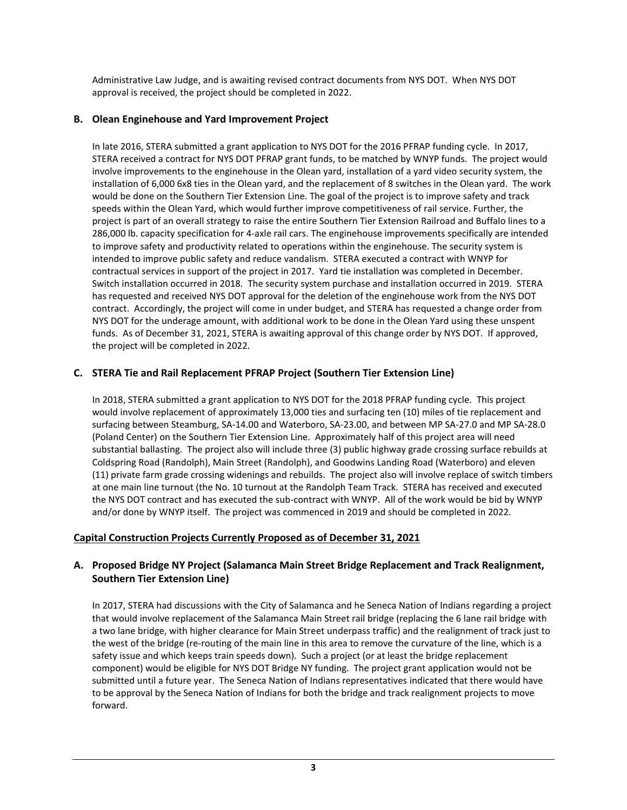Administrative Law Judge, and is awaiting revised contract documents from NYS DOT. When NYS DOT approval is received, the project should be completed in 2022.

### **B. Olean Enginehouse and Yard Improvement Project**

In late 2016, STERA submitted a grant application to NYS DOT for the 2016 PFRAP funding cycle. In 2017, STERA received a contract for NYS DOT PFRAP grant funds, to be matched by WNYP funds. The project would involve improvements to the enginehouse in the Olean yard, installation of a yard video security system, the installation of 6,000 6x8 ties in the Olean yard, and the replacement of 8 switches in the Olean yard. The work would be done on the Southern Tier Extension Line. The goal of the project is to improve safety and track speeds within the Olean Yard, which would further improve competitiveness of rail service. Further, the project is part of an overall strategy to raise the entire Southern Tier Extension Railroad and Buffalo lines to a 286,000 lb. capacity specification for 4-axle rail cars. The enginehouse improvements specifically are intended to improve safety and productivity related to operations within the enginehouse. The security system is intended to improve public safety and reduce vandalism. STERA executed a contract with WNYP for contractual services in support of the project in 2017. Yard tie installation was completed in December. Switch installation occurred in 2018. The security system purchase and installation occurred in 2019. STERA has requested and received NYS DOT approval for the deletion of the enginehouse work from the NYS DOT contract. Accordingly, the project will come in under budget, and STERA has requested a change order from NYS DOT for the underage amount, with additional work to be done in the Olean Yard using these unspent funds. As of December 31, 2021, STERA is awaiting approval of this change order by NYS DOT. If approved, the project will be completed in 2022.

# **C. STERA Tie and Rail Replacement PFRAP Project (Southern Tier Extension Line)**

In 2018, STERA submitted a grant application to NYS DOT for the 2018 PFRAP funding cycle. This project would involve replacement of approximately 13,000 ties and surfacing ten (10) miles of tie replacement and surfacing between Steamburg, SA-14.00 and Waterboro, SA-23.00, and between MP SA-27.0 and MP SA-28.0 (Poland Center) on the Southern Tier Extension Line. Approximately half of this project area will need substantial ballasting. The project also will include three (3) public highway grade crossing surface rebuilds at Coldspring Road (Randolph), Main Street (Randolph), and Goodwins Landing Road (Waterboro) and eleven (11) private farm grade crossing widenings and rebuilds. The project also will involve replace of switch timbers at one main line turnout (the No. 10 turnout at the Randolph Team Track. STERA has received and executed the NYS DOT contract and has executed the sub-contract with WNYP. All of the work would be bid by WNYP and/or done by WNYP itself. The project was commenced in 2019 and should be completed in 2022.

# **Capital Construction Projects Currently Proposed as of December 31, 2021**

# **A. Proposed Bridge NY Project (Salamanca Main Street Bridge Replacement and Track Realignment, Southern Tier Extension Line)**

In 2017, STERA had discussions with the City of Salamanca and he Seneca Nation of Indians regarding a project that would involve replacement of the Salamanca Main Street rail bridge (replacing the 6 lane rail bridge with a two lane bridge, with higher clearance for Main Street underpass traffic) and the realignment of track just to the west of the bridge (re-routing of the main line in this area to remove the curvature of the line, which is a safety issue and which keeps train speeds down). Such a project (or at least the bridge replacement component) would be eligible for NYS DOT Bridge NY funding. The project grant application would not be submitted until a future year. The Seneca Nation of Indians representatives indicated that there would have to be approval by the Seneca Nation of Indians for both the bridge and track realignment projects to move forward.